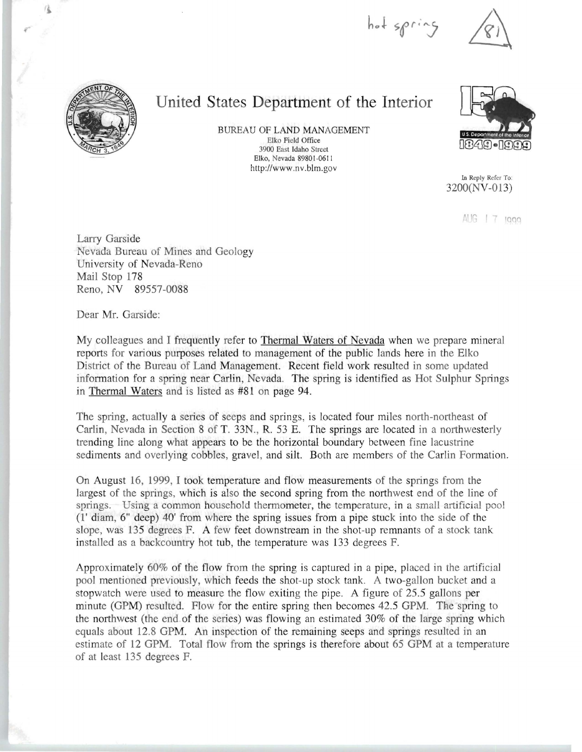hot spring



..

## **United States Department of the Interior**

BUREAU OF LAND MANAGEMENT Elko Field Office 3900 East Idaho Street Elko, Nevada 89801-0611 http://www.nv.blm.gov



In Reply Refer To: 3200(NV-013)

AUG | 7 1999

Larry Garside Nevada Bureau of Mines and Geology University of Nevada-Reno Mail Stop 178 Reno, NY 89557-0088

Dear Mr. Garside:

My colleagues and I frequently refer to Thermal Waters of Nevada when we prepare mineral reports for various purposes related to management of the public lands here in the Elko District of the Bureau of Land Management. Recent field work resulted in some updated information for a spring near Carlin, Nevada. The spring is identified as Hot Sulphur Springs in Thermal Waters and is listed as #81 on page 94.

The spring, actually a series of seeps and springs, is located four miles north-northeast of Carlin, Nevada in Section 8 of T. 33N., R. 53 E. The springs are located in a northwesterly trending line along what appears to be the horizontal boundary between fine lacustrine sediments and overlying cobbles, gravel, and silt. Both are members of the Carlin Formation.

On August 16, 1999, I took temperature and flow measurements of the springs from the largest of the springs, which is also the second spring from the northwest end of the line of springs. Using a common household thermometer, the temperature, in a small artificial pool  $(1'$  diam,  $6''$  deep)  $40'$  from where the spring issues from a pipe stuck into the side of the slope, was 135 degrees F. A few feet downstream in the shot-up remnants of a stock tank installed as a backcountry hot tub, the temperature was 133 degrees F.

Approximately  $60\%$  of the flow from the spring is captured in a pipe, placed in the artificial pool mentioned previously, which feeds the shot-up stock tank. A two-gallon bucket and a stopwatch were used to measure the flow exiting the pipe. A figure of 25.5 gallons per minute (GPM) resulted. Flow for the entire spring then becomes 42.5 GPM. The spring to the northwest (the end.of the series) was flowing an estimated 30% of the large spring which equals about 12.8 GPM. An inspection of the remaining seeps and springs resulted in an estimate of 12 GPM. Total flow from the springs is therefore about 65 GPM at a temperature of at least 135 degrees F.